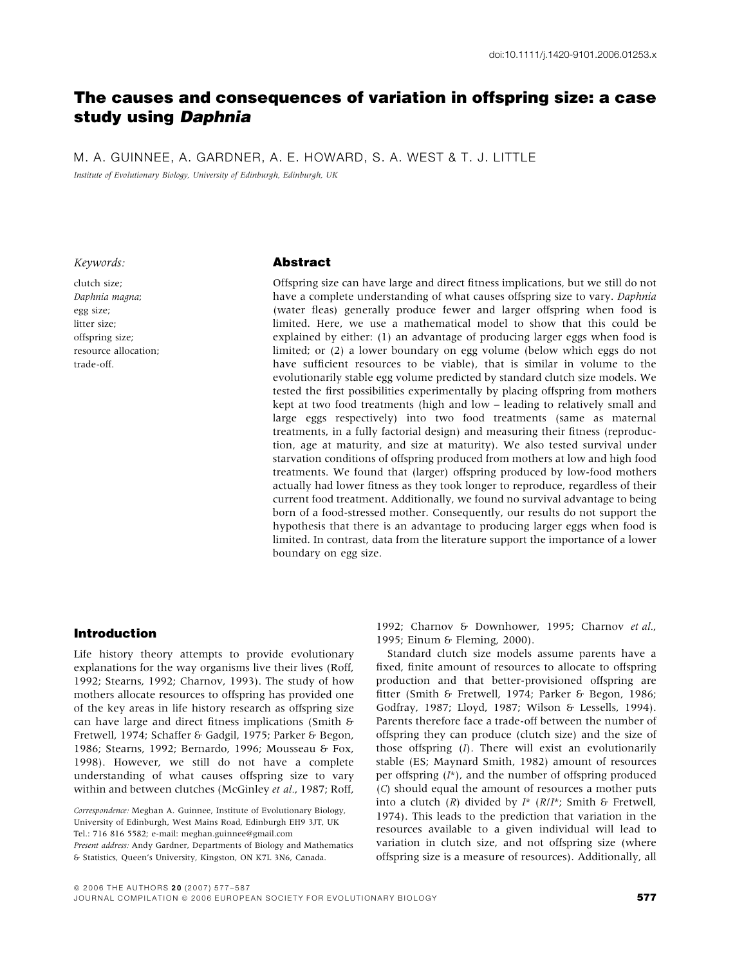# The causes and consequences of variation in offspring size: a case study using Daphnia

M. A. GUINNEE, A. GARDNER, A. E. HOWARD, S. A. WEST & T. J. LITTLE Institute of Evolutionary Biology, University of Edinburgh, Edinburgh, UK

#### Keywords:

clutch size; Daphnia magna; egg size; litter size; offspring size; resource allocation; trade-off.

# Abstract

Offspring size can have large and direct fitness implications, but we still do not have a complete understanding of what causes offspring size to vary. Daphnia (water fleas) generally produce fewer and larger offspring when food is limited. Here, we use a mathematical model to show that this could be explained by either: (1) an advantage of producing larger eggs when food is limited; or (2) a lower boundary on egg volume (below which eggs do not have sufficient resources to be viable), that is similar in volume to the evolutionarily stable egg volume predicted by standard clutch size models. We tested the first possibilities experimentally by placing offspring from mothers kept at two food treatments (high and low – leading to relatively small and large eggs respectively) into two food treatments (same as maternal treatments, in a fully factorial design) and measuring their fitness (reproduction, age at maturity, and size at maturity). We also tested survival under starvation conditions of offspring produced from mothers at low and high food treatments. We found that (larger) offspring produced by low-food mothers actually had lower fitness as they took longer to reproduce, regardless of their current food treatment. Additionally, we found no survival advantage to being born of a food-stressed mother. Consequently, our results do not support the hypothesis that there is an advantage to producing larger eggs when food is limited. In contrast, data from the literature support the importance of a lower boundary on egg size.

### Introduction

Life history theory attempts to provide evolutionary explanations for the way organisms live their lives (Roff, 1992; Stearns, 1992; Charnov, 1993). The study of how mothers allocate resources to offspring has provided one of the key areas in life history research as offspring size can have large and direct fitness implications (Smith & Fretwell, 1974; Schaffer & Gadgil, 1975; Parker & Begon, 1986; Stearns, 1992; Bernardo, 1996; Mousseau & Fox, 1998). However, we still do not have a complete understanding of what causes offspring size to vary within and between clutches (McGinley et al., 1987; Roff,

Correspondence: Meghan A. Guinnee, Institute of Evolutionary Biology, University of Edinburgh, West Mains Road, Edinburgh EH9 3JT, UK Tel.: 716 816 5582; e-mail: meghan.guinnee@gmail.com Present address: Andy Gardner, Departments of Biology and Mathematics & Statistics, Queen's University, Kingston, ON K7L 3N6, Canada.

1992; Charnov & Downhower, 1995; Charnov et al., 1995; Einum & Fleming, 2000).

Standard clutch size models assume parents have a fixed, finite amount of resources to allocate to offspring production and that better-provisioned offspring are fitter (Smith & Fretwell, 1974; Parker & Begon, 1986; Godfray, 1987; Lloyd, 1987; Wilson & Lessells, 1994). Parents therefore face a trade-off between the number of offspring they can produce (clutch size) and the size of those offspring (I). There will exist an evolutionarily stable (ES; Maynard Smith, 1982) amount of resources per offspring  $(I^*)$ , and the number of offspring produced (C) should equal the amount of resources a mother puts into a clutch  $(R)$  divided by  $I^*$   $(R/I^*)$ ; Smith & Fretwell, 1974). This leads to the prediction that variation in the resources available to a given individual will lead to variation in clutch size, and not offspring size (where offspring size is a measure of resources). Additionally, all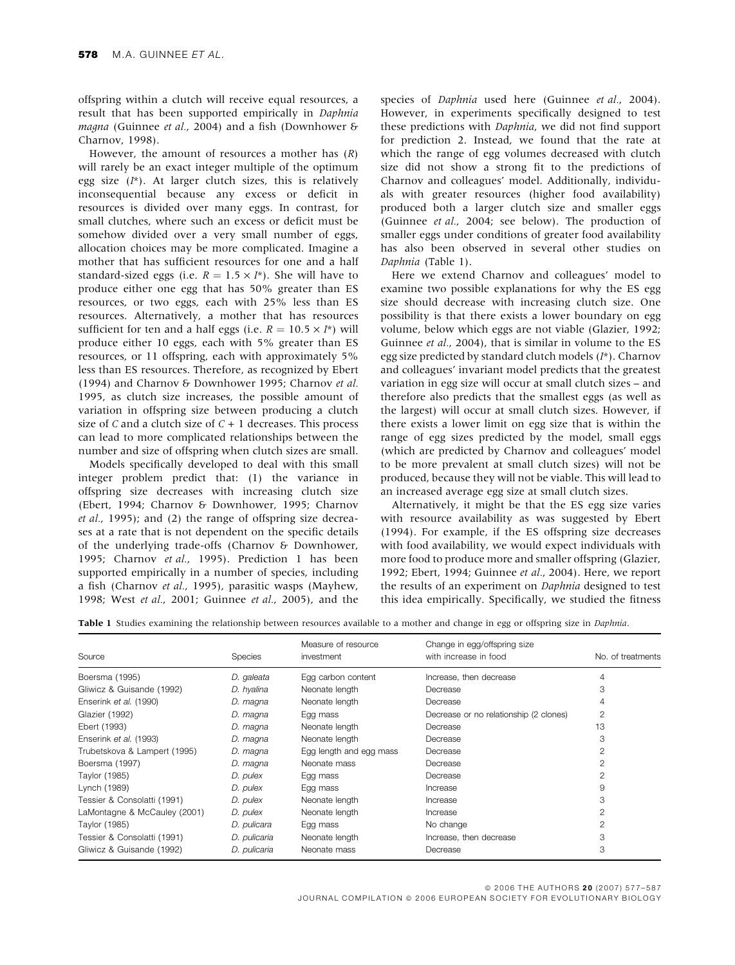offspring within a clutch will receive equal resources, a result that has been supported empirically in Daphnia magna (Guinnee et al., 2004) and a fish (Downhower & Charnov, 1998).

However, the amount of resources a mother has  $(R)$ will rarely be an exact integer multiple of the optimum egg size  $(I^*)$ . At larger clutch sizes, this is relatively inconsequential because any excess or deficit in resources is divided over many eggs. In contrast, for small clutches, where such an excess or deficit must be somehow divided over a very small number of eggs, allocation choices may be more complicated. Imagine a mother that has sufficient resources for one and a half standard-sized eggs (i.e.  $R = 1.5 \times I^*$ ). She will have to produce either one egg that has 50% greater than ES resources, or two eggs, each with 25% less than ES resources. Alternatively, a mother that has resources sufficient for ten and a half eggs (i.e.  $R = 10.5 \times I^*$ ) will produce either 10 eggs, each with 5% greater than ES resources, or 11 offspring, each with approximately 5% less than ES resources. Therefore, as recognized by Ebert (1994) and Charnov & Downhower 1995; Charnov et al. 1995, as clutch size increases, the possible amount of variation in offspring size between producing a clutch size of C and a clutch size of  $C + 1$  decreases. This process can lead to more complicated relationships between the number and size of offspring when clutch sizes are small.

Models specifically developed to deal with this small integer problem predict that: (1) the variance in offspring size decreases with increasing clutch size (Ebert, 1994; Charnov & Downhower, 1995; Charnov et al., 1995); and (2) the range of offspring size decreases at a rate that is not dependent on the specific details of the underlying trade-offs (Charnov & Downhower, 1995; Charnov et al., 1995). Prediction 1 has been supported empirically in a number of species, including a fish (Charnov et al., 1995), parasitic wasps (Mayhew, 1998; West et al., 2001; Guinnee et al., 2005), and the species of *Daphnia* used here (Guinnee et al., 2004). However, in experiments specifically designed to test these predictions with Daphnia, we did not find support for prediction 2. Instead, we found that the rate at which the range of egg volumes decreased with clutch size did not show a strong fit to the predictions of Charnov and colleagues' model. Additionally, individuals with greater resources (higher food availability) produced both a larger clutch size and smaller eggs (Guinnee et al., 2004; see below). The production of smaller eggs under conditions of greater food availability has also been observed in several other studies on Daphnia (Table 1).

Here we extend Charnov and colleagues' model to examine two possible explanations for why the ES egg size should decrease with increasing clutch size. One possibility is that there exists a lower boundary on egg volume, below which eggs are not viable (Glazier, 1992; Guinnee et al., 2004), that is similar in volume to the ES egg size predicted by standard clutch models  $(I^*)$ . Charnov and colleagues' invariant model predicts that the greatest variation in egg size will occur at small clutch sizes – and therefore also predicts that the smallest eggs (as well as the largest) will occur at small clutch sizes. However, if there exists a lower limit on egg size that is within the range of egg sizes predicted by the model, small eggs (which are predicted by Charnov and colleagues' model to be more prevalent at small clutch sizes) will not be produced, because they will not be viable. This will lead to an increased average egg size at small clutch sizes.

Alternatively, it might be that the ES egg size varies with resource availability as was suggested by Ebert (1994). For example, if the ES offspring size decreases with food availability, we would expect individuals with more food to produce more and smaller offspring (Glazier, 1992; Ebert, 1994; Guinnee et al., 2004). Here, we report the results of an experiment on Daphnia designed to test this idea empirically. Specifically, we studied the fitness

Table 1 Studies examining the relationship between resources available to a mother and change in egg or offspring size in Daphnia.

| Source                       | Species      | Measure of resource<br>investment | Change in egg/offspring size<br>with increase in food | No. of treatments |  |
|------------------------------|--------------|-----------------------------------|-------------------------------------------------------|-------------------|--|
| Boersma (1995)               | D. galeata   | Egg carbon content                | Increase, then decrease                               | 4                 |  |
| Gliwicz & Guisande (1992)    | D. hyalina   | Neonate length                    | Decrease                                              | 3                 |  |
| Enserink et al. (1990)       | D. magna     | Neonate length                    | Decrease                                              | 4                 |  |
| Glazier (1992)               | D. magna     | Egg mass                          | Decrease or no relationship (2 clones)                | 2                 |  |
| Ebert (1993)                 | D. magna     | Neonate length                    | Decrease                                              | 13                |  |
| Enserink et al. (1993)       | D. magna     | Neonate length                    | Decrease                                              | 3                 |  |
| Trubetskova & Lampert (1995) | D. magna     | Egg length and egg mass           | Decrease                                              | 2                 |  |
| Boersma (1997)               | D. magna     | Neonate mass                      | Decrease                                              | 2                 |  |
| Taylor (1985)                | D. pulex     | Egg mass                          | Decrease                                              | 2                 |  |
| Lynch (1989)                 | D. pulex     | Egg mass                          | Increase                                              | 9                 |  |
| Tessier & Consolatti (1991)  | D. pulex     | Neonate length                    | Increase                                              | 3                 |  |
| LaMontagne & McCauley (2001) | D. pulex     | Neonate length                    | Increase                                              | 2                 |  |
| Taylor (1985)                | D. pulicara  | Egg mass                          | No change                                             | 2                 |  |
| Tessier & Consolatti (1991)  | D. pulicaria | Neonate length                    | Increase, then decrease                               | 3                 |  |
| Gliwicz & Guisande (1992)    | D. pulicaria | Neonate mass                      | Decrease                                              | 3                 |  |
|                              |              |                                   |                                                       |                   |  |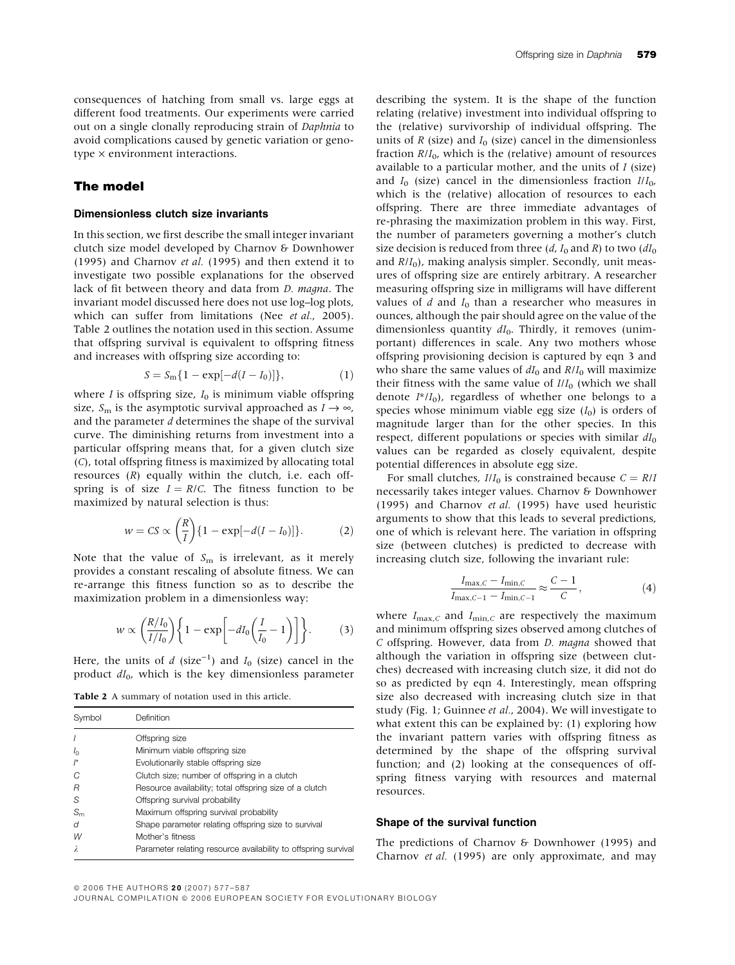consequences of hatching from small vs. large eggs at different food treatments. Our experiments were carried out on a single clonally reproducing strain of Daphnia to avoid complications caused by genetic variation or genotype  $\times$  environment interactions.

# The model

#### Dimensionless clutch size invariants

In this section, we first describe the small integer invariant clutch size model developed by Charnov & Downhower (1995) and Charnov et al. (1995) and then extend it to investigate two possible explanations for the observed lack of fit between theory and data from D. magna. The invariant model discussed here does not use log–log plots, which can suffer from limitations (Nee et al., 2005). Table 2 outlines the notation used in this section. Assume that offspring survival is equivalent to offspring fitness and increases with offspring size according to:

$$
S = S_{\rm m} \{ 1 - \exp[-d(I - I_0)] \},
$$
 (1)

where *I* is offspring size,  $I_0$  is minimum viable offspring size,  $S_m$  is the asymptotic survival approached as  $I \rightarrow \infty$ , and the parameter  $d$  determines the shape of the survival curve. The diminishing returns from investment into a particular offspring means that, for a given clutch size (C), total offspring fitness is maximized by allocating total resources  $(R)$  equally within the clutch, i.e. each offspring is of size  $I = R/C$ . The fitness function to be maximized by natural selection is thus:

$$
w = CS \propto \left(\frac{R}{I}\right) \{1 - \exp[-d(I - I_0)]\}.
$$
 (2)

Note that the value of  $S_m$  is irrelevant, as it merely provides a constant rescaling of absolute fitness. We can re-arrange this fitness function so as to describe the maximization problem in a dimensionless way:

$$
w \propto \left(\frac{R/I_0}{I/I_0}\right) \left\{1 - \exp\left[-dI_0\left(\frac{I}{I_0} - 1\right)\right]\right\}.
$$
 (3)

Here, the units of  $d$  (size<sup>-1</sup>) and  $I_0$  (size) cancel in the product  $dI_0$ , which is the key dimensionless parameter

Table 2 A summary of notation used in this article.

| Symbol         | Definition                                                     |
|----------------|----------------------------------------------------------------|
|                | Offspring size                                                 |
| $I_{\Omega}$   | Minimum viable offspring size                                  |
| $\mathsf{I}^*$ | Evolutionarily stable offspring size                           |
| C              | Clutch size; number of offspring in a clutch                   |
| R              | Resource availability; total offspring size of a clutch        |
| S              | Offspring survival probability                                 |
| $S_{m}$        | Maximum offspring survival probability                         |
| d              | Shape parameter relating offspring size to survival            |
| W              | Mother's fitness                                               |
| λ              | Parameter relating resource availability to offspring survival |

describing the system. It is the shape of the function relating (relative) investment into individual offspring to the (relative) survivorship of individual offspring. The units of  $R$  (size) and  $I_0$  (size) cancel in the dimensionless fraction  $R/I_0$ , which is the (relative) amount of resources available to a particular mother, and the units of I (size) and  $I_0$  (size) cancel in the dimensionless fraction  $I/I_0$ , which is the (relative) allocation of resources to each offspring. There are three immediate advantages of re-phrasing the maximization problem in this way. First, the number of parameters governing a mother's clutch size decision is reduced from three  $(d, I_0 \text{ and } R)$  to two  $(dI_0$ and  $R/I_0$ ), making analysis simpler. Secondly, unit measures of offspring size are entirely arbitrary. A researcher measuring offspring size in milligrams will have different values of  $d$  and  $I_0$  than a researcher who measures in ounces, although the pair should agree on the value of the dimensionless quantity  $dI_0$ . Thirdly, it removes (unimportant) differences in scale. Any two mothers whose offspring provisioning decision is captured by eqn 3 and who share the same values of  $dI_0$  and  $R/I_0$  will maximize their fitness with the same value of  $I/I_0$  (which we shall denote  $I^*$ / $I_0$ ), regardless of whether one belongs to a species whose minimum viable egg size  $(I_0)$  is orders of magnitude larger than for the other species. In this respect, different populations or species with similar  $dI_0$ values can be regarded as closely equivalent, despite potential differences in absolute egg size.

For small clutches,  $I/I_0$  is constrained because  $C = R/I$ necessarily takes integer values. Charnov & Downhower (1995) and Charnov et al. (1995) have used heuristic arguments to show that this leads to several predictions, one of which is relevant here. The variation in offspring size (between clutches) is predicted to decrease with increasing clutch size, following the invariant rule:

$$
\frac{I_{\max,C} - I_{\min,C}}{I_{\max,C-1} - I_{\min,C-1}} \approx \frac{C - 1}{C},\tag{4}
$$

where  $I_{\text{max},C}$  and  $I_{\text{min},C}$  are respectively the maximum and minimum offspring sizes observed among clutches of C offspring. However, data from D. magna showed that although the variation in offspring size (between clutches) decreased with increasing clutch size, it did not do so as predicted by eqn 4. Interestingly, mean offspring size also decreased with increasing clutch size in that study (Fig. 1; Guinnee et al., 2004). We will investigate to what extent this can be explained by: (1) exploring how the invariant pattern varies with offspring fitness as determined by the shape of the offspring survival function; and (2) looking at the consequences of offspring fitness varying with resources and maternal resources.

#### Shape of the survival function

The predictions of Charnov & Downhower (1995) and Charnov et al. (1995) are only approximate, and may

<sup>© 2006</sup> THE AUTHORS 20 (2007) 577-587

JOURNAL COMPILATION © 2006 EUROPEAN SOCIETY FOR EVOLUTIONARY BIOLOGY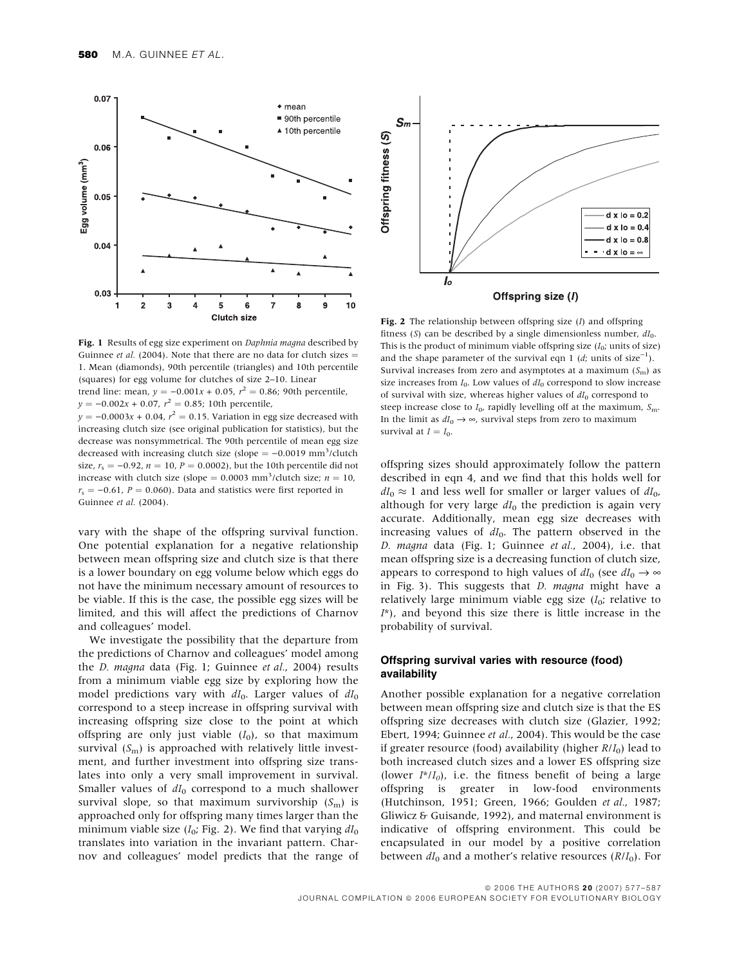

Fig. 1 Results of egg size experiment on Daphnia magna described by Guinnee *et al.* (2004). Note that there are no data for clutch sizes  $=$ 1. Mean (diamonds), 90th percentile (triangles) and 10th percentile (squares) for egg volume for clutches of size 2–10. Linear trend line: mean,  $y = -0.001x + 0.05$ ,  $r^2 = 0.86$ ; 90th percentile,  $y = -0.002x + 0.07$ ,  $r^2 = 0.85$ ; 10th percentile,

 $y = -0.0003x + 0.04$ ,  $r^2 = 0.15$ . Variation in egg size decreased with increasing clutch size (see original publication for statistics), but the decrease was nonsymmetrical. The 90th percentile of mean egg size decreased with increasing clutch size (slope  $= -0.0019$  mm<sup>3</sup>/clutch size,  $r_s = -0.92$ ,  $n = 10$ ,  $P = 0.0002$ ), but the 10th percentile did not increase with clutch size (slope =  $0.0003$  mm<sup>3</sup>/clutch size;  $n = 10$ ,  $r_s = -0.61$ ,  $P = 0.060$ ). Data and statistics were first reported in Guinnee et al. (2004).

vary with the shape of the offspring survival function. One potential explanation for a negative relationship between mean offspring size and clutch size is that there is a lower boundary on egg volume below which eggs do not have the minimum necessary amount of resources to be viable. If this is the case, the possible egg sizes will be limited, and this will affect the predictions of Charnov and colleagues' model.

We investigate the possibility that the departure from the predictions of Charnov and colleagues' model among the *D. magna* data (Fig. 1; Guinnee et al., 2004) results from a minimum viable egg size by exploring how the model predictions vary with  $dI_0$ . Larger values of  $dI_0$ correspond to a steep increase in offspring survival with increasing offspring size close to the point at which offspring are only just viable  $(I_0)$ , so that maximum survival  $(S_m)$  is approached with relatively little investment, and further investment into offspring size translates into only a very small improvement in survival. Smaller values of  $dI_0$  correspond to a much shallower survival slope, so that maximum survivorship  $(S_m)$  is approached only for offspring many times larger than the minimum viable size  $(I_0; Fig. 2)$ . We find that varying  $dI_0$ translates into variation in the invariant pattern. Charnov and colleagues' model predicts that the range of



Fig. 2 The relationship between offspring size  $(I)$  and offspring fitness (S) can be described by a single dimensionless number,  $dI_0$ . This is the product of minimum viable offspring size  $(I_0;$  units of size) and the shape parameter of the survival eqn 1 (*d*; units of size<sup>-1</sup>). Survival increases from zero and asymptotes at a maximum  $(S_m)$  as size increases from  $I_0$ . Low values of  $dI_0$  correspond to slow increase of survival with size, whereas higher values of  $dI_0$  correspond to steep increase close to  $I_0$ , rapidly levelling off at the maximum,  $S_m$ . In the limit as  $dI_0 \rightarrow \infty$ , survival steps from zero to maximum survival at  $I = I_0$ .

offspring sizes should approximately follow the pattern described in eqn 4, and we find that this holds well for  $dI_0 \approx 1$  and less well for smaller or larger values of  $dI_0$ , although for very large  $dI_0$  the prediction is again very accurate. Additionally, mean egg size decreases with increasing values of  $dI_0$ . The pattern observed in the D. magna data (Fig. 1; Guinnee et al., 2004), i.e. that mean offspring size is a decreasing function of clutch size, appears to correspond to high values of  $dI_0$  (see  $dI_0 \rightarrow \infty$ in Fig. 3). This suggests that *D. magna* might have a relatively large minimum viable egg size  $(I_0;$  relative to  $I^*$ ), and beyond this size there is little increase in the probability of survival.

# Offspring survival varies with resource (food) availability

Another possible explanation for a negative correlation between mean offspring size and clutch size is that the ES offspring size decreases with clutch size (Glazier, 1992; Ebert, 1994; Guinnee et al., 2004). This would be the case if greater resource (food) availability (higher  $R/I_0$ ) lead to both increased clutch sizes and a lower ES offspring size (lower  $I^*/I_0$ ), i.e. the fitness benefit of being a large offspring is greater in low-food environments (Hutchinson, 1951; Green, 1966; Goulden et al., 1987; Gliwicz & Guisande, 1992), and maternal environment is indicative of offspring environment. This could be encapsulated in our model by a positive correlation between  $dI_0$  and a mother's relative resources ( $R/I_0$ ). For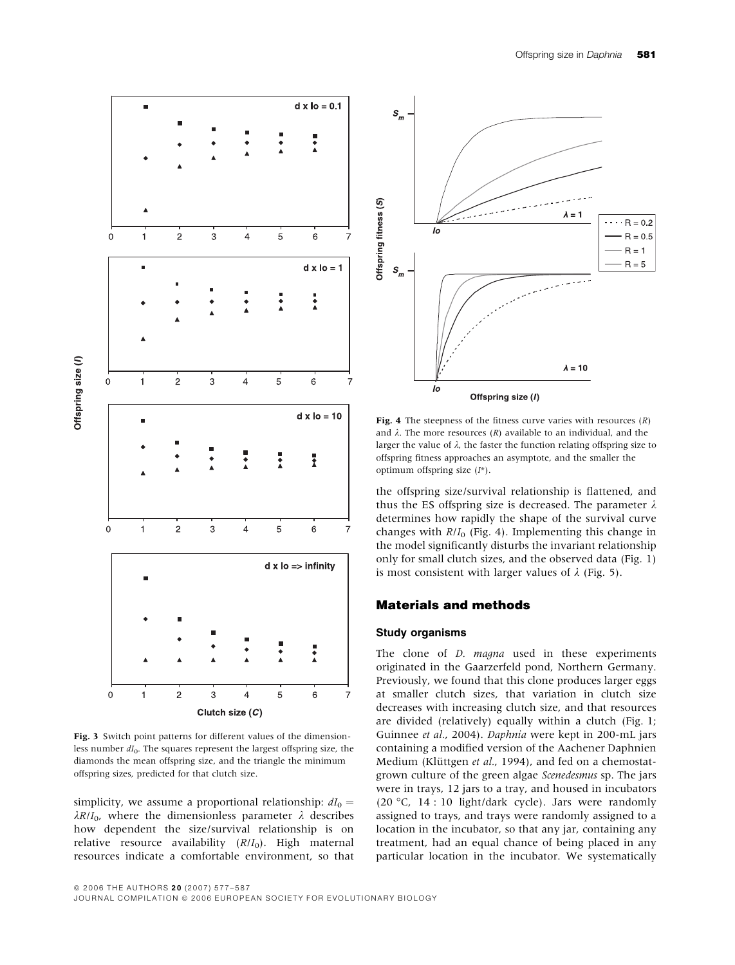

Fig. 3 Switch point patterns for different values of the dimensionless number  $dI_0$ . The squares represent the largest offspring size, the diamonds the mean offspring size, and the triangle the minimum offspring sizes, predicted for that clutch size.

simplicity, we assume a proportional relationship:  $dI_0 =$  $\lambda R/I_0$ , where the dimensionless parameter  $\lambda$  describes how dependent the size/survival relationship is on relative resource availability  $(R/I_0)$ . High maternal resources indicate a comfortable environment, so that



Fig. 4 The steepness of the fitness curve varies with resources  $(R)$ and  $\lambda$ . The more resources  $(R)$  available to an individual, and the larger the value of  $\lambda$ , the faster the function relating offspring size to offspring fitness approaches an asymptote, and the smaller the optimum offspring size  $(I^*)$ .

the offspring size/survival relationship is flattened, and thus the ES offspring size is decreased. The parameter  $\lambda$ determines how rapidly the shape of the survival curve changes with  $R/I_0$  (Fig. 4). Implementing this change in the model significantly disturbs the invariant relationship only for small clutch sizes, and the observed data (Fig. 1) is most consistent with larger values of  $\lambda$  (Fig. 5).

# Materials and methods

#### Study organisms

The clone of *D. magna* used in these experiments originated in the Gaarzerfeld pond, Northern Germany. Previously, we found that this clone produces larger eggs at smaller clutch sizes, that variation in clutch size decreases with increasing clutch size, and that resources are divided (relatively) equally within a clutch (Fig. 1; Guinnee et al., 2004). Daphnia were kept in 200-mL jars containing a modified version of the Aachener Daphnien Medium (Klüttgen et al., 1994), and fed on a chemostatgrown culture of the green algae Scenedesmus sp. The jars were in trays, 12 jars to a tray, and housed in incubators (20 °C, 14 : 10 light/dark cycle). Jars were randomly assigned to trays, and trays were randomly assigned to a location in the incubator, so that any jar, containing any treatment, had an equal chance of being placed in any particular location in the incubator. We systematically

© 2006 THE AUTHORS 20 (2007) 577-587

JOURNAL COMPILATION © 2006 EUROPEAN SOCIETY FOR EVOLUTIONARY BIOLOGY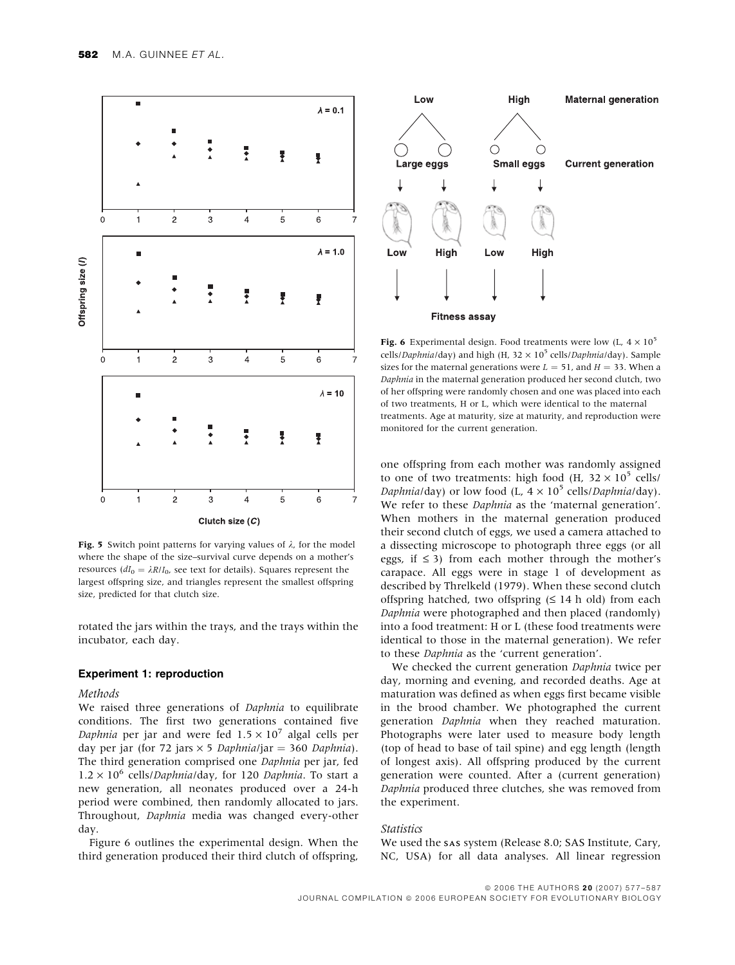

Fig. 5 Switch point patterns for varying values of  $\lambda$ , for the model where the shape of the size–survival curve depends on a mother's resources ( $dI_0 = \lambda R/I_0$ , see text for details). Squares represent the largest offspring size, and triangles represent the smallest offspring size, predicted for that clutch size.

rotated the jars within the trays, and the trays within the incubator, each day.

### Experiment 1: reproduction

#### Methods

We raised three generations of *Daphnia* to equilibrate conditions. The first two generations contained five Daphnia per jar and were fed  $1.5 \times 10^7$  algal cells per day per jar (for 72 jars  $\times$  5 *Daphnia*)jar = 360 *Daphnia*). The third generation comprised one Daphnia per jar, fed  $1.2 \times 10^6$  cells/*Daphnia*/day, for 120 Daphnia. To start a new generation, all neonates produced over a 24-h period were combined, then randomly allocated to jars. Throughout, Daphnia media was changed every-other day.

Figure 6 outlines the experimental design. When the third generation produced their third clutch of offspring,



**Fig. 6** Experimental design. Food treatments were low  $(L, 4 \times 10^5)$ cells/*Daphnia*/day) and high (H,  $32 \times 10^5$  cells/*Daphnia*/day). Sample sizes for the maternal generations were  $L = 51$ , and  $H = 33$ . When a Daphnia in the maternal generation produced her second clutch, two of her offspring were randomly chosen and one was placed into each of two treatments, H or L, which were identical to the maternal treatments. Age at maturity, size at maturity, and reproduction were monitored for the current generation.

one offspring from each mother was randomly assigned to one of two treatments: high food (H,  $32 \times 10^5$  cells/ Daphnia/day) or low food (L,  $4 \times 10^5$  cells/Daphnia/day). We refer to these *Daphnia* as the 'maternal generation'. When mothers in the maternal generation produced their second clutch of eggs, we used a camera attached to a dissecting microscope to photograph three eggs (or all eggs, if  $\leq$  3) from each mother through the mother's carapace. All eggs were in stage 1 of development as described by Threlkeld (1979). When these second clutch offspring hatched, two offspring  $( \leq 14 \text{ h}$  old) from each Daphnia were photographed and then placed (randomly) into a food treatment: H or L (these food treatments were identical to those in the maternal generation). We refer to these Daphnia as the 'current generation'.

We checked the current generation Daphnia twice per day, morning and evening, and recorded deaths. Age at maturation was defined as when eggs first became visible in the brood chamber. We photographed the current generation Daphnia when they reached maturation. Photographs were later used to measure body length (top of head to base of tail spine) and egg length (length of longest axis). All offspring produced by the current generation were counted. After a (current generation) Daphnia produced three clutches, she was removed from the experiment.

#### Statistics

We used the SAS system (Release 8.0; SAS Institute, Cary, NC, USA) for all data analyses. All linear regression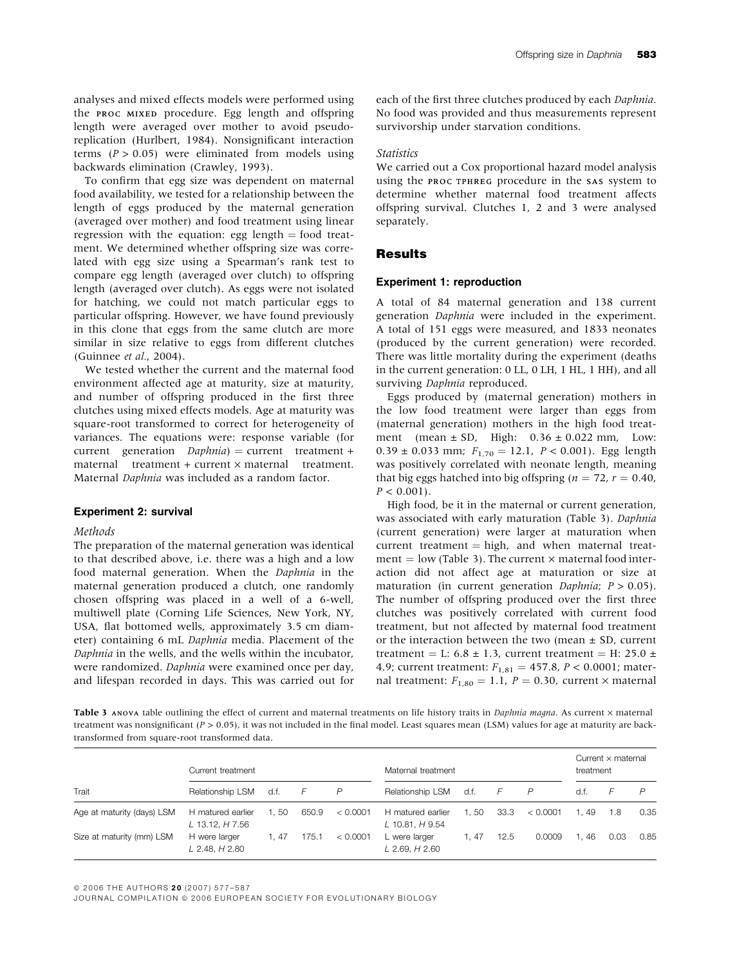analyses and mixed effects models were performed using the PROC MIXED procedure. Egg length and offspring length were averaged over mother to avoid pseudoreplication (Hurlbert, 1984). Nonsignificant interaction terms ( $P > 0.05$ ) were eliminated from models using backwards elimination (Crawley, 1993).

To confirm that egg size was dependent on maternal food availability, we tested for a relationship between the length of eggs produced by the maternal generation (averaged over mother) and food treatment using linear regression with the equation: egg length  $=$  food treatment. We determined whether offspring size was correlated with egg size using a Spearman's rank test to compare egg length (averaged over clutch) to offspring length (averaged over clutch). As eggs were not isolated for hatching, we could not match particular eggs to particular offspring. However, we have found previously in this clone that eggs from the same clutch are more similar in size relative to eggs from different clutches (Guinnee et al., 2004).

We tested whether the current and the maternal food environment affected age at maturity, size at maturity, and number of offspring produced in the first three clutches using mixed effects models. Age at maturity was square-root transformed to correct for heterogeneity of variances. The equations were: response variable (for current generation  $Daphnia$  = current treatment + maternal  $t$ reatment + current  $\times$  maternal treatment. Maternal Daphnia was included as a random factor.

### Experiment 2: survival

#### Methods

The preparation of the maternal generation was identical to that described above, i.e. there was a high and a low food maternal generation. When the Daphnia in the maternal generation produced a clutch, one randomly chosen offspring was placed in a well of a 6-well, multiwell plate (Corning Life Sciences, New York, NY, USA, flat bottomed wells, approximately 3.5 cm diameter) containing 6 mL Daphnia media. Placement of the Daphnia in the wells, and the wells within the incubator, were randomized. Daphnia were examined once per day, and lifespan recorded in days. This was carried out for

each of the first three clutches produced by each Daphnia. No food was provided and thus measurements represent survivorship under starvation conditions.

#### **Statistics**

We carried out a Cox proportional hazard model analysis using the PROC TPHREG procedure in the SAS system to determine whether maternal food treatment affects offspring survival. Clutches 1, 2 and 3 were analysed separately.

# Results

#### Experiment 1: reproduction

A total of 84 maternal generation and 138 current generation Daphnia were included in the experiment. A total of 151 eggs were measured, and 1833 neonates (produced by the current generation) were recorded. There was little mortality during the experiment (deaths in the current generation: 0 LL, 0 LH, 1 HL, 1 HH), and all surviving Daphnia reproduced.

Eggs produced by (maternal generation) mothers in the low food treatment were larger than eggs from (maternal generation) mothers in the high food treatment (mean  $\pm$  SD, High:  $0.36 \pm 0.022$  mm, Low:  $0.39 \pm 0.033$  mm;  $F_{1,70} = 12.1$ ,  $P < 0.001$ ). Egg length was positively correlated with neonate length, meaning that big eggs hatched into big offspring ( $n = 72$ ,  $r = 0.40$ ,  $P < 0.001$ ).

High food, be it in the maternal or current generation, was associated with early maturation (Table 3). Daphnia (current generation) were larger at maturation when current treatment  $=$  high, and when maternal treatment =  $\text{low}$  (Table 3). The current  $\times$  maternal food interaction did not affect age at maturation or size at maturation (in current generation *Daphnia*;  $P > 0.05$ ). The number of offspring produced over the first three clutches was positively correlated with current food treatment, but not affected by maternal food treatment or the interaction between the two (mean  $\pm$  SD, current treatment = L:  $6.8 \pm 1.3$ , current treatment = H: 25.0  $\pm$ 4.9; current treatment:  $F_{1,81} = 457.8$ ,  $P < 0.0001$ ; maternal treatment:  $F_{1,80} = 1.1$ ,  $P = 0.30$ , current  $\times$  maternal

Table 3 ANOVA table outlining the effect of current and maternal treatments on life history traits in *Daphnia magna*. As current  $\times$  maternal treatment was nonsignificant ( $P > 0.05$ ), it was not included in the final model. Least squares mean (LSM) values for age at maturity are backtransformed from square-root transformed data.

|                            | Current treatment                      |      |       |          | Maternal treatment                     |      |      |          | Current $\times$ maternal<br>treatment |      |      |
|----------------------------|----------------------------------------|------|-------|----------|----------------------------------------|------|------|----------|----------------------------------------|------|------|
| Trait                      | Relationship LSM                       | d.f. | F     | P        | Relationship LSM                       | d.f. | F    | P        | d.f.                                   |      |      |
| Age at maturity (days) LSM | H matured earlier<br>$L$ 13.12, H 7.56 | 1.50 | 650.9 | < 0.0001 | H matured earlier<br>$L$ 10.81, H 9.54 | 1.50 | 33.3 | < 0.0001 | 1.49                                   | 1.8  | 0.35 |
| Size at maturity (mm) LSM  | H were larger<br>L 2.48, H 2.80        | 1.47 | 175.1 | < 0.0001 | L were larger<br>$L$ 2.69, $H$ 2.60    | 1.47 | 12.5 | 0.0009   | 1.46                                   | 0.03 | 0.85 |

© 2006 THE AUTHORS 20 (2007) 577-587

JOURNAL COMPILATION © 2006 EUROPEAN SOCIETY FOR EVOLUTIONARY BIOLOGY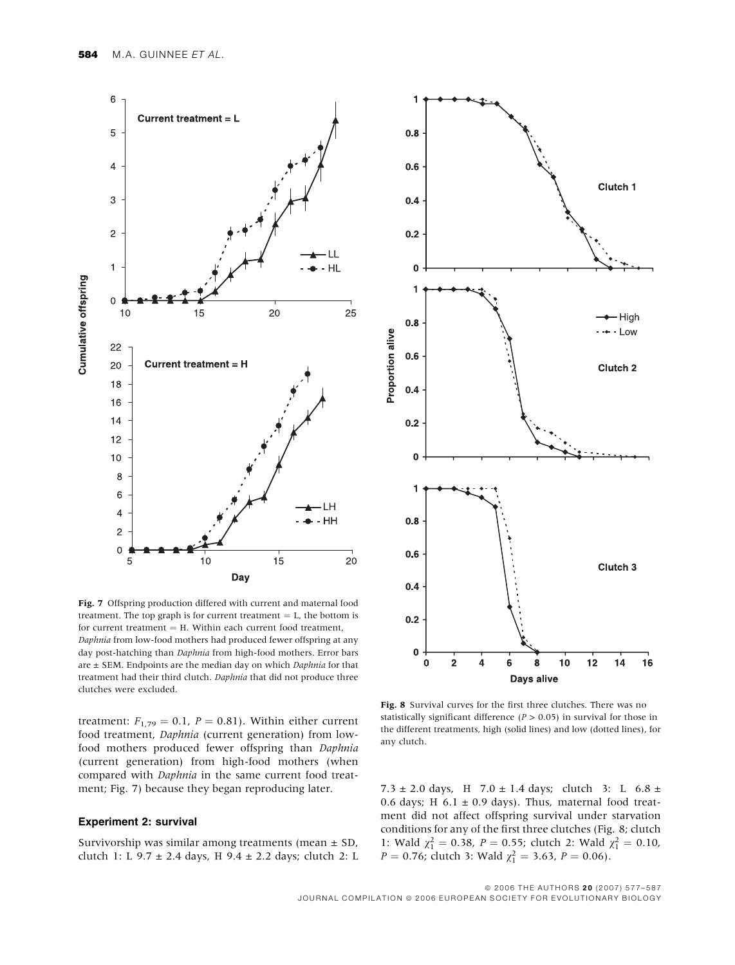

Fig. 7 Offspring production differed with current and maternal food treatment. The top graph is for current treatment  $= L$ , the bottom is for current treatment  $=$  H. Within each current food treatment, Daphnia from low-food mothers had produced fewer offspring at any day post-hatching than *Daphnia* from high-food mothers. Error bars are ± SEM. Endpoints are the median day on which Daphnia for that treatment had their third clutch. Daphnia that did not produce three clutches were excluded.

treatment:  $F_{1,79} = 0.1$ ,  $P = 0.81$ ). Within either current food treatment, Daphnia (current generation) from lowfood mothers produced fewer offspring than Daphnia (current generation) from high-food mothers (when compared with Daphnia in the same current food treatment; Fig. 7) because they began reproducing later.

# Experiment 2: survival

Survivorship was similar among treatments (mean  $\pm$  SD, clutch 1: L 9.7 ± 2.4 days, H 9.4 ± 2.2 days; clutch 2: L



Fig. 8 Survival curves for the first three clutches. There was no statistically significant difference  $(P > 0.05)$  in survival for those in the different treatments, high (solid lines) and low (dotted lines), for any clutch.

7.3  $\pm$  2.0 days, H 7.0  $\pm$  1.4 days; clutch 3: L 6.8  $\pm$ 0.6 days; H  $6.1 \pm 0.9$  days). Thus, maternal food treatment did not affect offspring survival under starvation conditions for any of the first three clutches (Fig. 8; clutch 1: Wald  $\chi_1^2 = 0.38$ , P = 0.55; clutch 2: Wald  $\chi_1^2 = 0.10$ ,  $P = 0.76$ ; clutch 3: Wald  $\chi_1^2 = 3.63$ ,  $P = 0.06$ ).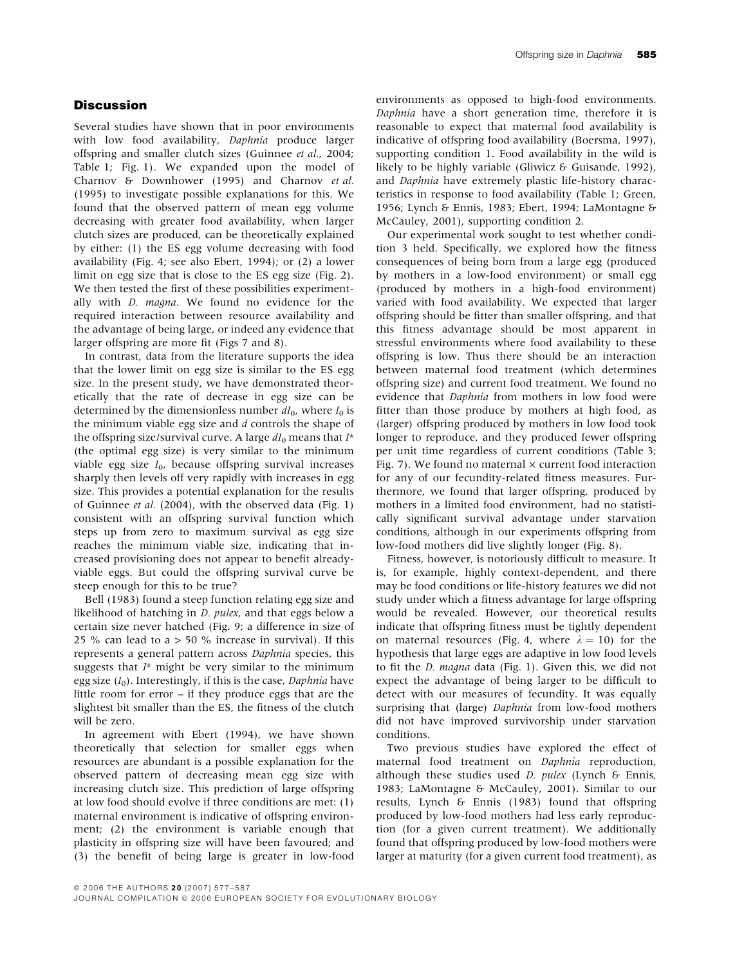# **Discussion**

Several studies have shown that in poor environments with low food availability, Daphnia produce larger offspring and smaller clutch sizes (Guinnee et al., 2004; Table 1; Fig. 1). We expanded upon the model of Charnov & Downhower (1995) and Charnov et al. (1995) to investigate possible explanations for this. We found that the observed pattern of mean egg volume decreasing with greater food availability, when larger clutch sizes are produced, can be theoretically explained by either: (1) the ES egg volume decreasing with food availability (Fig. 4; see also Ebert, 1994); or (2) a lower limit on egg size that is close to the ES egg size (Fig. 2). We then tested the first of these possibilities experimentally with D. magna. We found no evidence for the required interaction between resource availability and the advantage of being large, or indeed any evidence that larger offspring are more fit (Figs 7 and 8).

In contrast, data from the literature supports the idea that the lower limit on egg size is similar to the ES egg size. In the present study, we have demonstrated theoretically that the rate of decrease in egg size can be determined by the dimensionless number  $dI_0$ , where  $I_0$  is the minimum viable egg size and d controls the shape of the offspring size/survival curve. A large  $dI_0$  means that  $I^*$ (the optimal egg size) is very similar to the minimum viable egg size  $I_0$ , because offspring survival increases sharply then levels off very rapidly with increases in egg size. This provides a potential explanation for the results of Guinnee et al. (2004), with the observed data (Fig. 1) consistent with an offspring survival function which steps up from zero to maximum survival as egg size reaches the minimum viable size, indicating that increased provisioning does not appear to benefit alreadyviable eggs. But could the offspring survival curve be steep enough for this to be true?

Bell (1983) found a steep function relating egg size and likelihood of hatching in *D. pulex*, and that eggs below a certain size never hatched (Fig. 9; a difference in size of 25 % can lead to a > 50 % increase in survival). If this represents a general pattern across Daphnia species, this suggests that  $I^*$  might be very similar to the minimum egg size  $(I_0)$ . Interestingly, if this is the case, Daphnia have little room for error – if they produce eggs that are the slightest bit smaller than the ES, the fitness of the clutch will be zero.

In agreement with Ebert (1994), we have shown theoretically that selection for smaller eggs when resources are abundant is a possible explanation for the observed pattern of decreasing mean egg size with increasing clutch size. This prediction of large offspring at low food should evolve if three conditions are met: (1) maternal environment is indicative of offspring environment; (2) the environment is variable enough that plasticity in offspring size will have been favoured; and (3) the benefit of being large is greater in low-food environments as opposed to high-food environments. Daphnia have a short generation time, therefore it is reasonable to expect that maternal food availability is indicative of offspring food availability (Boersma, 1997), supporting condition 1. Food availability in the wild is likely to be highly variable (Gliwicz & Guisande, 1992), and Daphnia have extremely plastic life-history characteristics in response to food availability (Table 1; Green, 1956; Lynch & Ennis, 1983; Ebert, 1994; LaMontagne & McCauley, 2001), supporting condition 2.

Our experimental work sought to test whether condition 3 held. Specifically, we explored how the fitness consequences of being born from a large egg (produced by mothers in a low-food environment) or small egg (produced by mothers in a high-food environment) varied with food availability. We expected that larger offspring should be fitter than smaller offspring, and that this fitness advantage should be most apparent in stressful environments where food availability to these offspring is low. Thus there should be an interaction between maternal food treatment (which determines offspring size) and current food treatment. We found no evidence that Daphnia from mothers in low food were fitter than those produce by mothers at high food, as (larger) offspring produced by mothers in low food took longer to reproduce, and they produced fewer offspring per unit time regardless of current conditions (Table 3; Fig. 7). We found no maternal  $\times$  current food interaction for any of our fecundity-related fitness measures. Furthermore, we found that larger offspring, produced by mothers in a limited food environment, had no statistically significant survival advantage under starvation conditions, although in our experiments offspring from low-food mothers did live slightly longer (Fig. 8).

Fitness, however, is notoriously difficult to measure. It is, for example, highly context-dependent, and there may be food conditions or life-history features we did not study under which a fitness advantage for large offspring would be revealed. However, our theoretical results indicate that offspring fitness must be tightly dependent on maternal resources (Fig. 4, where  $\lambda = 10$ ) for the hypothesis that large eggs are adaptive in low food levels to fit the D. magna data (Fig. 1). Given this, we did not expect the advantage of being larger to be difficult to detect with our measures of fecundity. It was equally surprising that (large) *Daphnia* from low-food mothers did not have improved survivorship under starvation conditions.

Two previous studies have explored the effect of maternal food treatment on Daphnia reproduction, although these studies used  $D$ . pulex (Lynch & Ennis, 1983; LaMontagne & McCauley, 2001). Similar to our results, Lynch & Ennis (1983) found that offspring produced by low-food mothers had less early reproduction (for a given current treatment). We additionally found that offspring produced by low-food mothers were larger at maturity (for a given current food treatment), as

<sup>© 2006</sup> THE AUTHORS 20 (2007) 577-587

JOURNAL COMPILATION © 2006 EUROPEAN SOCIETY FOR EVOLUTIONARY BIOLOGY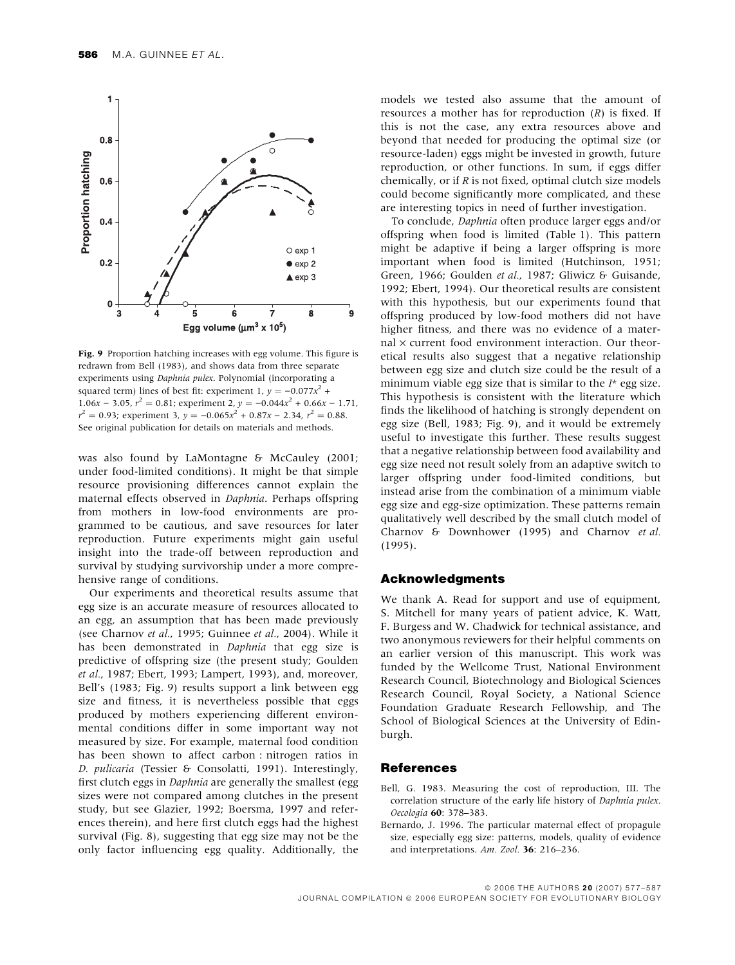

Fig. 9 Proportion hatching increases with egg volume. This figure is redrawn from Bell (1983), and shows data from three separate experiments using Daphnia pulex. Polynomial (incorporating a squared term) lines of best fit: experiment 1,  $y = -0.077x^2 + 1$  $1.06x - 3.05$ ,  $r^2 = 0.81$ ; experiment 2,  $y = -0.044x^2 + 0.66x - 1.71$ ,  $r^2 = 0.93$ ; experiment 3,  $y = -0.065x^2 + 0.87x - 2.34$ ,  $r^2 = 0.88$ . See original publication for details on materials and methods.

was also found by LaMontagne & McCauley (2001; under food-limited conditions). It might be that simple resource provisioning differences cannot explain the maternal effects observed in Daphnia. Perhaps offspring from mothers in low-food environments are programmed to be cautious, and save resources for later reproduction. Future experiments might gain useful insight into the trade-off between reproduction and survival by studying survivorship under a more comprehensive range of conditions.

Our experiments and theoretical results assume that egg size is an accurate measure of resources allocated to an egg, an assumption that has been made previously (see Charnov et al., 1995; Guinnee et al., 2004). While it has been demonstrated in Daphnia that egg size is predictive of offspring size (the present study; Goulden et al., 1987; Ebert, 1993; Lampert, 1993), and, moreover, Bell's (1983; Fig. 9) results support a link between egg size and fitness, it is nevertheless possible that eggs produced by mothers experiencing different environmental conditions differ in some important way not measured by size. For example, maternal food condition has been shown to affect carbon : nitrogen ratios in D. pulicaria (Tessier & Consolatti, 1991). Interestingly, first clutch eggs in *Daphnia* are generally the smallest (egg sizes were not compared among clutches in the present study, but see Glazier, 1992; Boersma, 1997 and references therein), and here first clutch eggs had the highest survival (Fig. 8), suggesting that egg size may not be the only factor influencing egg quality. Additionally, the models we tested also assume that the amount of resources a mother has for reproduction  $(R)$  is fixed. If this is not the case, any extra resources above and beyond that needed for producing the optimal size (or resource-laden) eggs might be invested in growth, future reproduction, or other functions. In sum, if eggs differ chemically, or if R is not fixed, optimal clutch size models could become significantly more complicated, and these are interesting topics in need of further investigation.

To conclude, Daphnia often produce larger eggs and/or offspring when food is limited (Table 1). This pattern might be adaptive if being a larger offspring is more important when food is limited (Hutchinson, 1951; Green, 1966; Goulden et al., 1987; Gliwicz & Guisande, 1992; Ebert, 1994). Our theoretical results are consistent with this hypothesis, but our experiments found that offspring produced by low-food mothers did not have higher fitness, and there was no evidence of a mater $nal \times current$  food environment interaction. Our theoretical results also suggest that a negative relationship between egg size and clutch size could be the result of a minimum viable egg size that is similar to the  $I^*$  egg size. This hypothesis is consistent with the literature which finds the likelihood of hatching is strongly dependent on egg size (Bell, 1983; Fig. 9), and it would be extremely useful to investigate this further. These results suggest that a negative relationship between food availability and egg size need not result solely from an adaptive switch to larger offspring under food-limited conditions, but instead arise from the combination of a minimum viable egg size and egg-size optimization. These patterns remain qualitatively well described by the small clutch model of Charnov & Downhower (1995) and Charnov et al. (1995).

# Acknowledgments

We thank A. Read for support and use of equipment, S. Mitchell for many years of patient advice, K. Watt, F. Burgess and W. Chadwick for technical assistance, and two anonymous reviewers for their helpful comments on an earlier version of this manuscript. This work was funded by the Wellcome Trust, National Environment Research Council, Biotechnology and Biological Sciences Research Council, Royal Society, a National Science Foundation Graduate Research Fellowship, and The School of Biological Sciences at the University of Edinburgh.

# References

- Bell, G. 1983. Measuring the cost of reproduction, III. The correlation structure of the early life history of Daphnia pulex. Oecologia 60: 378–383.
- Bernardo, J. 1996. The particular maternal effect of propagule size, especially egg size: patterns, models, quality of evidence and interpretations. Am. Zool. 36: 216–236.